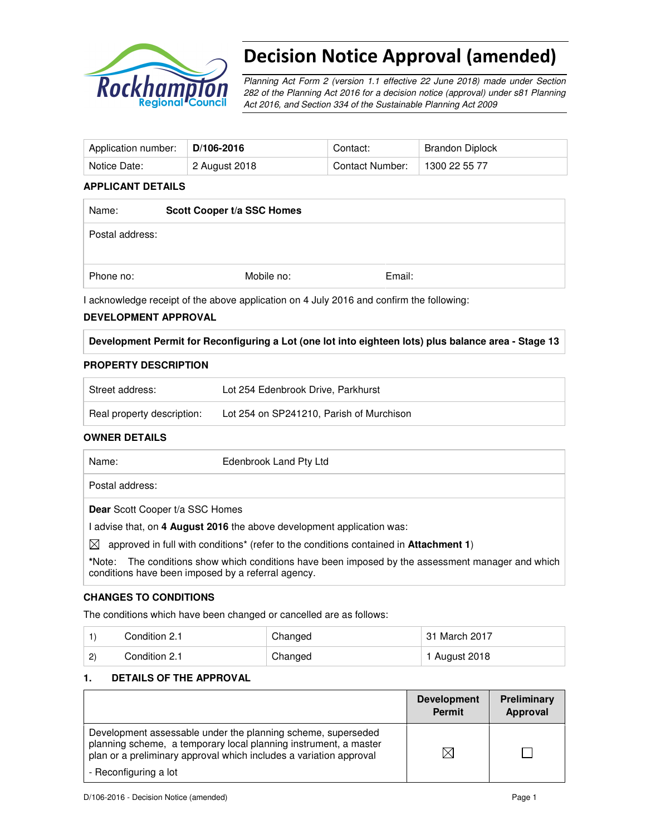

# Decision Notice Approval (amended)

Planning Act Form 2 (version 1.1 effective 22 June 2018) made under Section 282 of the Planning Act 2016 for a decision notice (approval) under s81 Planning Act 2016, and Section 334 of the Sustainable Planning Act 2009

| Application number: | $D/106-2016$  | Contact:        | Brandon Diplock |
|---------------------|---------------|-----------------|-----------------|
| Notice Date:        | 2 August 2018 | Contact Number: | 1300 22 55 77   |

#### **APPLICANT DETAILS**

| Name:           | Scott Cooper t/a SSC Homes |        |  |
|-----------------|----------------------------|--------|--|
| Postal address: |                            |        |  |
| Phone no:       | Mobile no:                 | Email: |  |

I acknowledge receipt of the above application on 4 July 2016 and confirm the following:

#### **DEVELOPMENT APPROVAL**

**Development Permit for Reconfiguring a Lot (one lot into eighteen lots) plus balance area - Stage 13** 

#### **PROPERTY DESCRIPTION**

| Street address:            | Lot 254 Edenbrook Drive, Parkhurst       |
|----------------------------|------------------------------------------|
| Real property description: | Lot 254 on SP241210, Parish of Murchison |

## **OWNER DETAILS**

| Name:     | Edenbrook Land Pty Ltd                                                                                   |
|-----------|----------------------------------------------------------------------------------------------------------|
|           | Postal address:                                                                                          |
|           | <b>Dear</b> Scott Cooper t/a SSC Homes                                                                   |
|           | l advise that, on 4 August 2016 the above development application was:                                   |
| $\bowtie$ | approved in full with conditions <sup>*</sup> (refer to the conditions contained in <b>Attachment 1)</b> |
| *Nloter   | The conditions show which conditions have been imposed by the assessment manager and which               |

The conditions show which conditions have been imposed conditions have been imposed by a referral agency.

## **CHANGES TO CONDITIONS**

The conditions which have been changed or cancelled are as follows:

|              | Condition 2.1 | Changed | 31 March 2017 |
|--------------|---------------|---------|---------------|
| $\mathbf{2}$ | Condition 2.1 | Changed | 1 August 2018 |

## **1. DETAILS OF THE APPROVAL**

|                                                                                                                                                                                                        | <b>Development</b><br><b>Permit</b> | Preliminary<br>Approval |
|--------------------------------------------------------------------------------------------------------------------------------------------------------------------------------------------------------|-------------------------------------|-------------------------|
| Development assessable under the planning scheme, superseded<br>planning scheme, a temporary local planning instrument, a master<br>plan or a preliminary approval which includes a variation approval | ⋉                                   |                         |
| - Reconfiguring a lot                                                                                                                                                                                  |                                     |                         |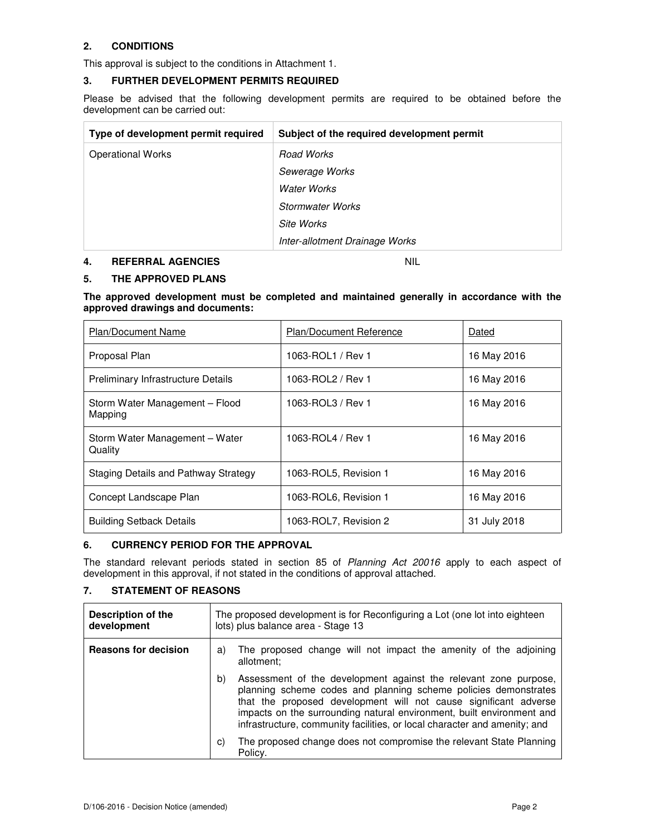# **2. CONDITIONS**

This approval is subject to the conditions in Attachment 1.

### **3. FURTHER DEVELOPMENT PERMITS REQUIRED**

Please be advised that the following development permits are required to be obtained before the development can be carried out:

| Type of development permit required | Subject of the required development permit |
|-------------------------------------|--------------------------------------------|
| <b>Operational Works</b>            | Road Works                                 |
|                                     | Sewerage Works                             |
|                                     | <b>Water Works</b>                         |
|                                     | Stormwater Works                           |
|                                     | Site Works                                 |
|                                     | Inter-allotment Drainage Works             |

#### **4. REFERRAL AGENCIES** NIL

#### **5. THE APPROVED PLANS**

**The approved development must be completed and maintained generally in accordance with the approved drawings and documents:** 

| <b>Plan/Document Name</b>                 | <b>Plan/Document Reference</b> | Dated        |
|-------------------------------------------|--------------------------------|--------------|
| Proposal Plan                             | 1063-ROL1 / Rev 1              | 16 May 2016  |
| <b>Preliminary Infrastructure Details</b> | 1063-ROL2 / Rev 1              | 16 May 2016  |
| Storm Water Management - Flood<br>Mapping | 1063-ROL3 / Rev 1              | 16 May 2016  |
| Storm Water Management - Water<br>Quality | 1063-ROL4 / Rev 1              | 16 May 2016  |
| Staging Details and Pathway Strategy      | 1063-ROL5, Revision 1          | 16 May 2016  |
| Concept Landscape Plan                    | 1063-ROL6, Revision 1          | 16 May 2016  |
| <b>Building Setback Details</b>           | 1063-ROL7, Revision 2          | 31 July 2018 |

#### **6. CURRENCY PERIOD FOR THE APPROVAL**

The standard relevant periods stated in section 85 of Planning Act 20016 apply to each aspect of development in this approval, if not stated in the conditions of approval attached.

# **7. STATEMENT OF REASONS**

| <b>Description of the</b><br>development |    | The proposed development is for Reconfiguring a Lot (one lot into eighteen<br>lots) plus balance area - Stage 13                                                                                                                                                                                                                                              |  |
|------------------------------------------|----|---------------------------------------------------------------------------------------------------------------------------------------------------------------------------------------------------------------------------------------------------------------------------------------------------------------------------------------------------------------|--|
| <b>Reasons for decision</b>              | a) | The proposed change will not impact the amenity of the adjoining<br>allotment:                                                                                                                                                                                                                                                                                |  |
|                                          | b) | Assessment of the development against the relevant zone purpose,<br>planning scheme codes and planning scheme policies demonstrates<br>that the proposed development will not cause significant adverse<br>impacts on the surrounding natural environment, built environment and<br>infrastructure, community facilities, or local character and amenity; and |  |
|                                          | C) | The proposed change does not compromise the relevant State Planning<br>Policy.                                                                                                                                                                                                                                                                                |  |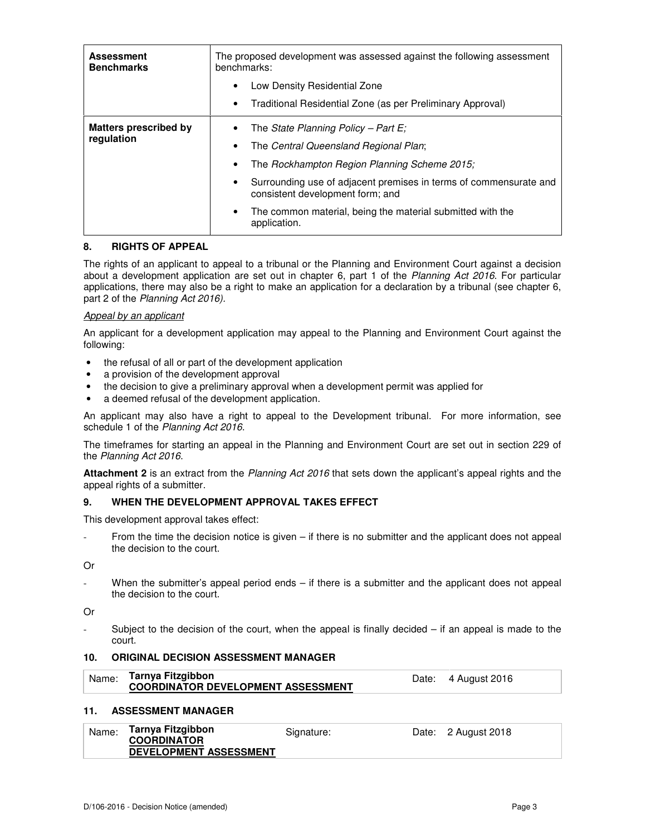| <b>Assessment</b><br><b>Benchmarks</b> | The proposed development was assessed against the following assessment<br>benchmarks:                              |  |
|----------------------------------------|--------------------------------------------------------------------------------------------------------------------|--|
|                                        | Low Density Residential Zone<br>$\bullet$                                                                          |  |
|                                        | Traditional Residential Zone (as per Preliminary Approval)<br>$\bullet$                                            |  |
| <b>Matters prescribed by</b>           | The State Planning Policy - Part E;                                                                                |  |
| regulation                             | The Central Queensland Regional Plan;<br>٠                                                                         |  |
|                                        | The Rockhampton Region Planning Scheme 2015;                                                                       |  |
|                                        | Surrounding use of adjacent premises in terms of commensurate and<br>$\bullet$<br>consistent development form; and |  |
|                                        | The common material, being the material submitted with the<br>$\bullet$<br>application.                            |  |

#### **8. RIGHTS OF APPEAL**

The rights of an applicant to appeal to a tribunal or the Planning and Environment Court against a decision about a development application are set out in chapter 6, part 1 of the Planning Act 2016. For particular applications, there may also be a right to make an application for a declaration by a tribunal (see chapter 6, part 2 of the Planning Act 2016).

#### Appeal by an applicant

An applicant for a development application may appeal to the Planning and Environment Court against the following:

- the refusal of all or part of the development application
- a provision of the development approval
- the decision to give a preliminary approval when a development permit was applied for
- a deemed refusal of the development application.

An applicant may also have a right to appeal to the Development tribunal. For more information, see schedule 1 of the Planning Act 2016.

The timeframes for starting an appeal in the Planning and Environment Court are set out in section 229 of the Planning Act 2016.

**Attachment 2** is an extract from the Planning Act 2016 that sets down the applicant's appeal rights and the appeal rights of a submitter.

#### **9. WHEN THE DEVELOPMENT APPROVAL TAKES EFFECT**

This development approval takes effect:

From the time the decision notice is given  $-$  if there is no submitter and the applicant does not appeal the decision to the court.

Or

When the submitter's appeal period ends – if there is a submitter and the applicant does not appeal the decision to the court.

Or

Subject to the decision of the court, when the appeal is finally decided  $-$  if an appeal is made to the court.

## **10. ORIGINAL DECISION ASSESSMENT MANAGER**

| Tarnya Fitzgibbon<br>Name:<br>Date: 4 August 2016<br><b>COORDINATOR DEVELOPMENT ASSESSMENT</b> |
|------------------------------------------------------------------------------------------------|
|------------------------------------------------------------------------------------------------|

#### **11. ASSESSMENT MANAGER**

| Name: | Tarnya Fitzgibbon             | Signature: | Date: 2 August 2018 |
|-------|-------------------------------|------------|---------------------|
|       | <b>COORDINATOR</b>            |            |                     |
|       | <b>DEVELOPMENT ASSESSMENT</b> |            |                     |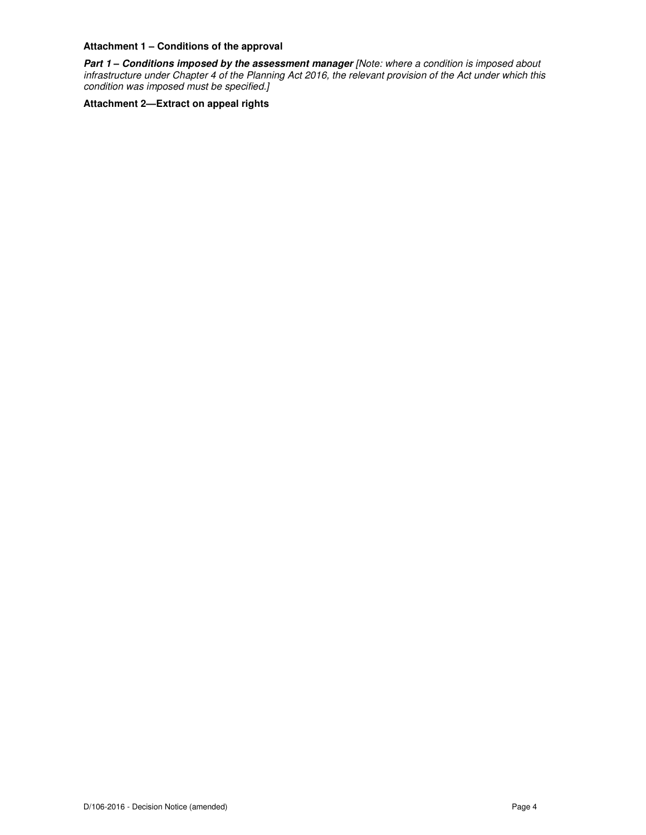# **Attachment 1 – Conditions of the approval**

**Part 1 – Conditions imposed by the assessment manager** [Note: where a condition is imposed about infrastructure under Chapter 4 of the Planning Act 2016, the relevant provision of the Act under which this condition was imposed must be specified.]

**Attachment 2—Extract on appeal rights**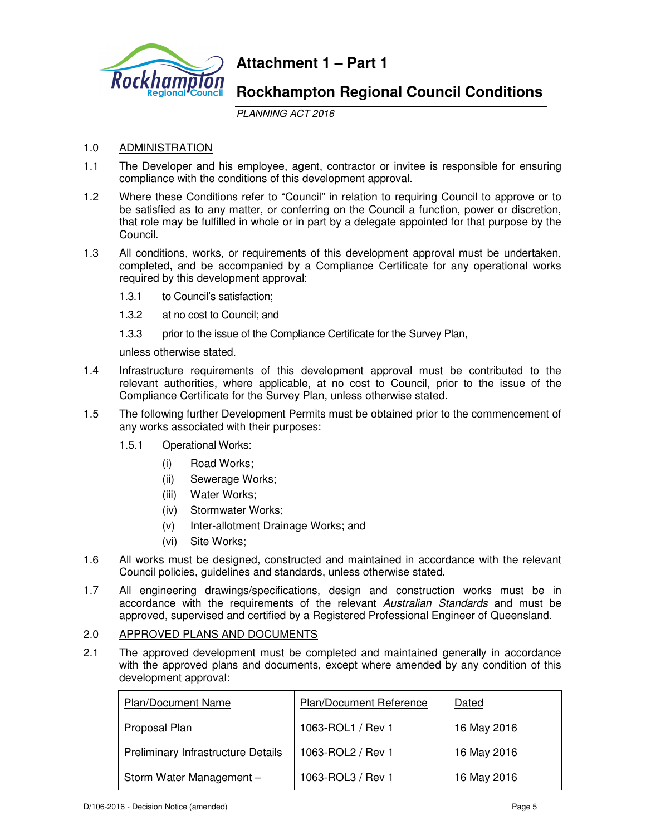

# **Attachment 1 – Part 1**

# **Rockhampton Regional Council Conditions**

PLANNING ACT 2016

# 1.0 ADMINISTRATION

- 1.1 The Developer and his employee, agent, contractor or invitee is responsible for ensuring compliance with the conditions of this development approval.
- 1.2 Where these Conditions refer to "Council" in relation to requiring Council to approve or to be satisfied as to any matter, or conferring on the Council a function, power or discretion, that role may be fulfilled in whole or in part by a delegate appointed for that purpose by the Council.
- 1.3 All conditions, works, or requirements of this development approval must be undertaken, completed, and be accompanied by a Compliance Certificate for any operational works required by this development approval:
	- 1.3.1 to Council's satisfaction;
	- 1.3.2 at no cost to Council; and
	- 1.3.3 prior to the issue of the Compliance Certificate for the Survey Plan,

unless otherwise stated.

- 1.4 Infrastructure requirements of this development approval must be contributed to the relevant authorities, where applicable, at no cost to Council, prior to the issue of the Compliance Certificate for the Survey Plan, unless otherwise stated.
- 1.5 The following further Development Permits must be obtained prior to the commencement of any works associated with their purposes:
	- 1.5.1 Operational Works:
		- (i) Road Works;
		- (ii) Sewerage Works;
		- (iii) Water Works;
		- (iv) Stormwater Works;
		- (v) Inter-allotment Drainage Works; and
		- (vi) Site Works;
- 1.6 All works must be designed, constructed and maintained in accordance with the relevant Council policies, guidelines and standards, unless otherwise stated.
- 1.7 All engineering drawings/specifications, design and construction works must be in accordance with the requirements of the relevant Australian Standards and must be approved, supervised and certified by a Registered Professional Engineer of Queensland.

# 2.0 APPROVED PLANS AND DOCUMENTS

2.1 The approved development must be completed and maintained generally in accordance with the approved plans and documents, except where amended by any condition of this development approval:

| <b>Plan/Document Name</b>                 | Plan/Document Reference | Dated       |
|-------------------------------------------|-------------------------|-------------|
| Proposal Plan                             | 1063-ROL1 / Rev 1       | 16 May 2016 |
| <b>Preliminary Infrastructure Details</b> | 1063-ROL2 / Rev 1       | 16 May 2016 |
| Storm Water Management -                  | 1063-ROL3 / Rev 1       | 16 May 2016 |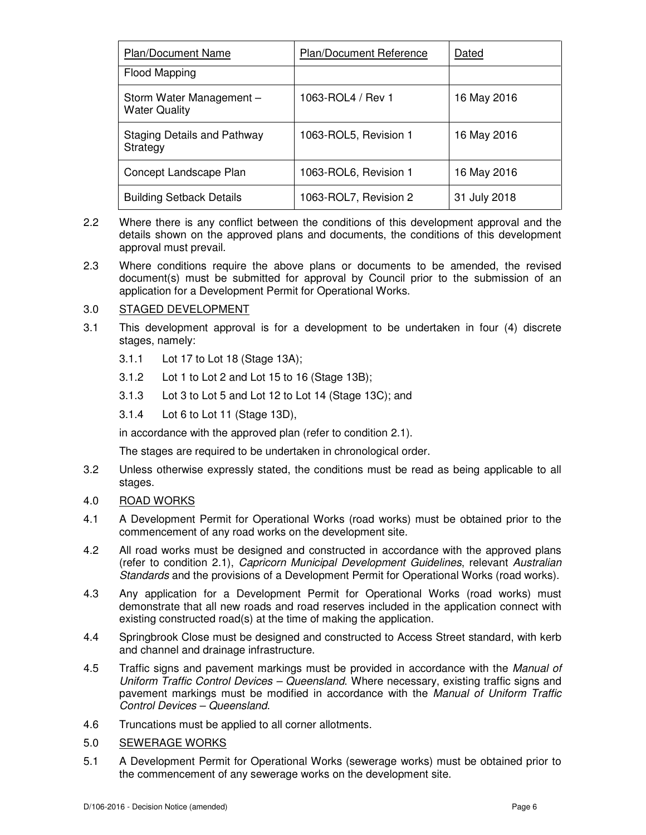| <b>Plan/Document Name</b>                        | Plan/Document Reference | Dated        |
|--------------------------------------------------|-------------------------|--------------|
| Flood Mapping                                    |                         |              |
| Storm Water Management -<br><b>Water Quality</b> | 1063-ROL4 / Rev 1       | 16 May 2016  |
| Staging Details and Pathway<br>Strategy          | 1063-ROL5, Revision 1   | 16 May 2016  |
| Concept Landscape Plan                           | 1063-ROL6, Revision 1   | 16 May 2016  |
| <b>Building Setback Details</b>                  | 1063-ROL7, Revision 2   | 31 July 2018 |

- 2.2 Where there is any conflict between the conditions of this development approval and the details shown on the approved plans and documents, the conditions of this development approval must prevail.
- 2.3 Where conditions require the above plans or documents to be amended, the revised document(s) must be submitted for approval by Council prior to the submission of an application for a Development Permit for Operational Works.

# 3.0 STAGED DEVELOPMENT

- 3.1 This development approval is for a development to be undertaken in four (4) discrete stages, namely:
	- 3.1.1 Lot 17 to Lot 18 (Stage 13A);
	- 3.1.2 Lot 1 to Lot 2 and Lot 15 to 16 (Stage 13B);
	- 3.1.3 Lot 3 to Lot 5 and Lot 12 to Lot 14 (Stage 13C); and
	- 3.1.4 Lot 6 to Lot 11 (Stage 13D),

in accordance with the approved plan (refer to condition 2.1).

The stages are required to be undertaken in chronological order.

- 3.2 Unless otherwise expressly stated, the conditions must be read as being applicable to all stages.
- 4.0 ROAD WORKS
- 4.1 A Development Permit for Operational Works (road works) must be obtained prior to the commencement of any road works on the development site.
- 4.2 All road works must be designed and constructed in accordance with the approved plans (refer to condition 2.1), Capricorn Municipal Development Guidelines, relevant Australian Standards and the provisions of a Development Permit for Operational Works (road works).
- 4.3 Any application for a Development Permit for Operational Works (road works) must demonstrate that all new roads and road reserves included in the application connect with existing constructed road(s) at the time of making the application.
- 4.4 Springbrook Close must be designed and constructed to Access Street standard, with kerb and channel and drainage infrastructure.
- 4.5 Traffic signs and pavement markings must be provided in accordance with the Manual of Uniform Traffic Control Devices – Queensland. Where necessary, existing traffic signs and pavement markings must be modified in accordance with the Manual of Uniform Traffic Control Devices – Queensland.
- 4.6 Truncations must be applied to all corner allotments.
- 5.0 SEWERAGE WORKS
- 5.1 A Development Permit for Operational Works (sewerage works) must be obtained prior to the commencement of any sewerage works on the development site.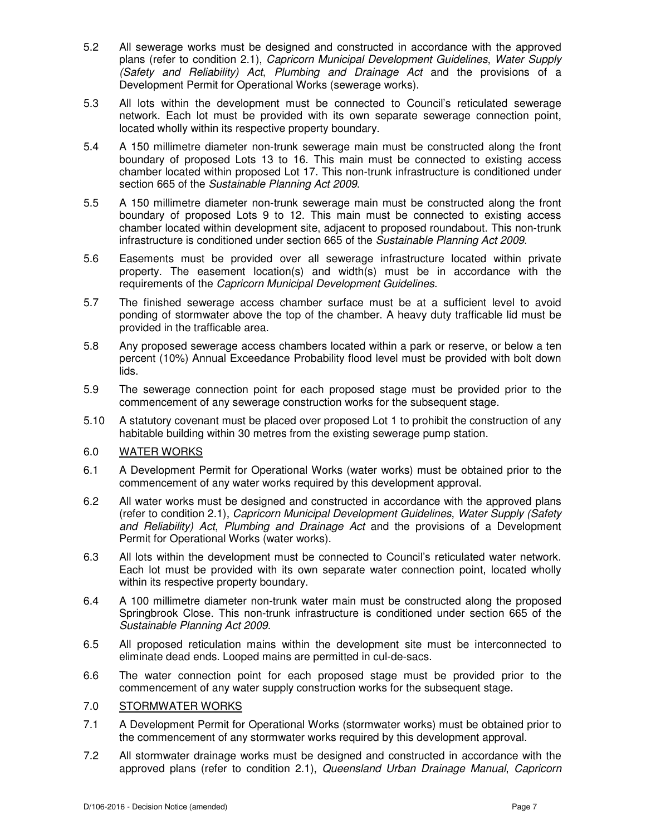- 5.2 All sewerage works must be designed and constructed in accordance with the approved plans (refer to condition 2.1), Capricorn Municipal Development Guidelines, Water Supply (Safety and Reliability) Act, Plumbing and Drainage Act and the provisions of a Development Permit for Operational Works (sewerage works).
- 5.3 All lots within the development must be connected to Council's reticulated sewerage network. Each lot must be provided with its own separate sewerage connection point, located wholly within its respective property boundary.
- 5.4 A 150 millimetre diameter non-trunk sewerage main must be constructed along the front boundary of proposed Lots 13 to 16. This main must be connected to existing access chamber located within proposed Lot 17. This non-trunk infrastructure is conditioned under section 665 of the Sustainable Planning Act 2009.
- 5.5 A 150 millimetre diameter non-trunk sewerage main must be constructed along the front boundary of proposed Lots 9 to 12. This main must be connected to existing access chamber located within development site, adjacent to proposed roundabout. This non-trunk infrastructure is conditioned under section 665 of the Sustainable Planning Act 2009.
- 5.6 Easements must be provided over all sewerage infrastructure located within private property. The easement location(s) and width(s) must be in accordance with the requirements of the Capricorn Municipal Development Guidelines.
- 5.7 The finished sewerage access chamber surface must be at a sufficient level to avoid ponding of stormwater above the top of the chamber. A heavy duty trafficable lid must be provided in the trafficable area.
- 5.8 Any proposed sewerage access chambers located within a park or reserve, or below a ten percent (10%) Annual Exceedance Probability flood level must be provided with bolt down lids.
- 5.9 The sewerage connection point for each proposed stage must be provided prior to the commencement of any sewerage construction works for the subsequent stage.
- 5.10 A statutory covenant must be placed over proposed Lot 1 to prohibit the construction of any habitable building within 30 metres from the existing sewerage pump station.

# 6.0 WATER WORKS

- 6.1 A Development Permit for Operational Works (water works) must be obtained prior to the commencement of any water works required by this development approval.
- 6.2 All water works must be designed and constructed in accordance with the approved plans (refer to condition 2.1), Capricorn Municipal Development Guidelines, Water Supply (Safety and Reliability) Act, Plumbing and Drainage Act and the provisions of a Development Permit for Operational Works (water works).
- 6.3 All lots within the development must be connected to Council's reticulated water network. Each lot must be provided with its own separate water connection point, located wholly within its respective property boundary.
- 6.4 A 100 millimetre diameter non-trunk water main must be constructed along the proposed Springbrook Close. This non-trunk infrastructure is conditioned under section 665 of the Sustainable Planning Act 2009.
- 6.5 All proposed reticulation mains within the development site must be interconnected to eliminate dead ends. Looped mains are permitted in cul-de-sacs.
- 6.6 The water connection point for each proposed stage must be provided prior to the commencement of any water supply construction works for the subsequent stage.

## 7.0 STORMWATER WORKS

- 7.1 A Development Permit for Operational Works (stormwater works) must be obtained prior to the commencement of any stormwater works required by this development approval.
- 7.2 All stormwater drainage works must be designed and constructed in accordance with the approved plans (refer to condition 2.1), Queensland Urban Drainage Manual, Capricorn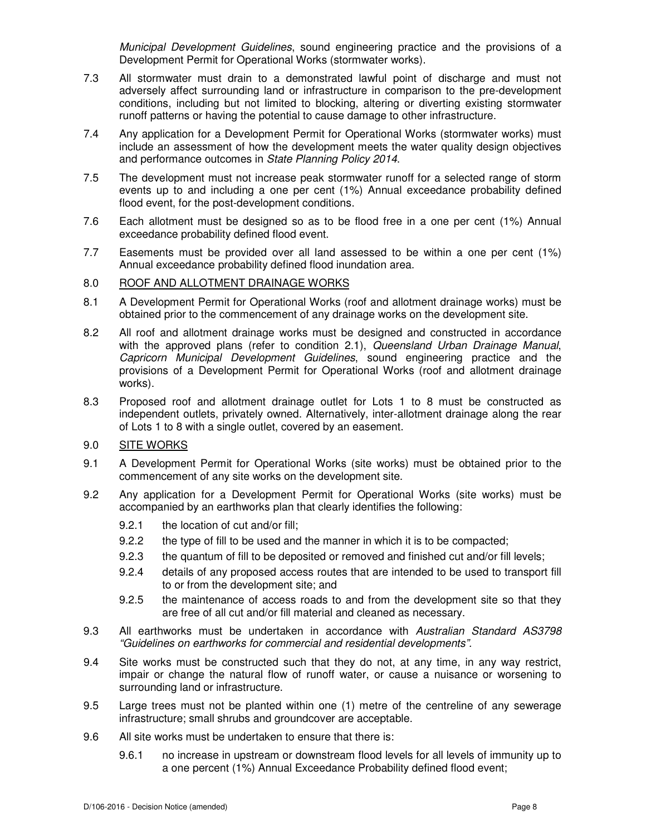Municipal Development Guidelines, sound engineering practice and the provisions of a Development Permit for Operational Works (stormwater works).

- 7.3 All stormwater must drain to a demonstrated lawful point of discharge and must not adversely affect surrounding land or infrastructure in comparison to the pre-development conditions, including but not limited to blocking, altering or diverting existing stormwater runoff patterns or having the potential to cause damage to other infrastructure.
- 7.4 Any application for a Development Permit for Operational Works (stormwater works) must include an assessment of how the development meets the water quality design objectives and performance outcomes in State Planning Policy 2014.
- 7.5 The development must not increase peak stormwater runoff for a selected range of storm events up to and including a one per cent (1%) Annual exceedance probability defined flood event, for the post-development conditions.
- 7.6 Each allotment must be designed so as to be flood free in a one per cent (1%) Annual exceedance probability defined flood event.
- 7.7 Easements must be provided over all land assessed to be within a one per cent (1%) Annual exceedance probability defined flood inundation area.

# 8.0 ROOF AND ALLOTMENT DRAINAGE WORKS

- 8.1 A Development Permit for Operational Works (roof and allotment drainage works) must be obtained prior to the commencement of any drainage works on the development site.
- 8.2 All roof and allotment drainage works must be designed and constructed in accordance with the approved plans (refer to condition 2.1), Queensland Urban Drainage Manual, Capricorn Municipal Development Guidelines, sound engineering practice and the provisions of a Development Permit for Operational Works (roof and allotment drainage works).
- 8.3 Proposed roof and allotment drainage outlet for Lots 1 to 8 must be constructed as independent outlets, privately owned. Alternatively, inter-allotment drainage along the rear of Lots 1 to 8 with a single outlet, covered by an easement.
- 9.0 SITE WORKS
- 9.1 A Development Permit for Operational Works (site works) must be obtained prior to the commencement of any site works on the development site.
- 9.2 Any application for a Development Permit for Operational Works (site works) must be accompanied by an earthworks plan that clearly identifies the following:
	- 9.2.1 the location of cut and/or fill;
	- 9.2.2 the type of fill to be used and the manner in which it is to be compacted;
	- 9.2.3 the quantum of fill to be deposited or removed and finished cut and/or fill levels;
	- 9.2.4 details of any proposed access routes that are intended to be used to transport fill to or from the development site; and
	- 9.2.5 the maintenance of access roads to and from the development site so that they are free of all cut and/or fill material and cleaned as necessary.
- 9.3 All earthworks must be undertaken in accordance with Australian Standard AS3798 "Guidelines on earthworks for commercial and residential developments".
- 9.4 Site works must be constructed such that they do not, at any time, in any way restrict, impair or change the natural flow of runoff water, or cause a nuisance or worsening to surrounding land or infrastructure.
- 9.5 Large trees must not be planted within one (1) metre of the centreline of any sewerage infrastructure; small shrubs and groundcover are acceptable.
- 9.6 All site works must be undertaken to ensure that there is:
	- 9.6.1 no increase in upstream or downstream flood levels for all levels of immunity up to a one percent (1%) Annual Exceedance Probability defined flood event;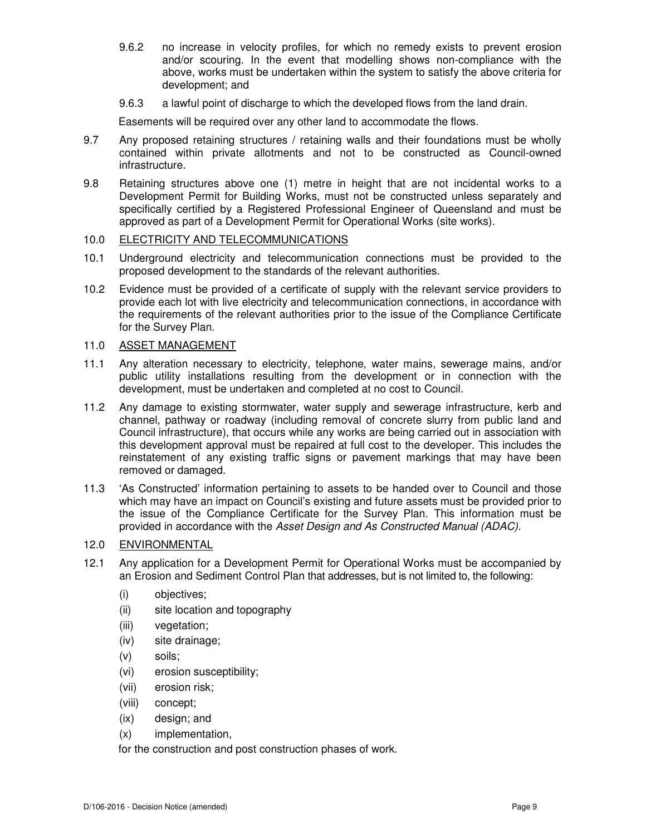- 9.6.2 no increase in velocity profiles, for which no remedy exists to prevent erosion and/or scouring. In the event that modelling shows non-compliance with the above, works must be undertaken within the system to satisfy the above criteria for development; and
- 9.6.3 a lawful point of discharge to which the developed flows from the land drain.

Easements will be required over any other land to accommodate the flows.

- 9.7 Any proposed retaining structures / retaining walls and their foundations must be wholly contained within private allotments and not to be constructed as Council-owned infrastructure.
- 9.8 Retaining structures above one (1) metre in height that are not incidental works to a Development Permit for Building Works, must not be constructed unless separately and specifically certified by a Registered Professional Engineer of Queensland and must be approved as part of a Development Permit for Operational Works (site works).

# 10.0 ELECTRICITY AND TELECOMMUNICATIONS

- 10.1 Underground electricity and telecommunication connections must be provided to the proposed development to the standards of the relevant authorities.
- 10.2 Evidence must be provided of a certificate of supply with the relevant service providers to provide each lot with live electricity and telecommunication connections, in accordance with the requirements of the relevant authorities prior to the issue of the Compliance Certificate for the Survey Plan.

## 11.0 ASSET MANAGEMENT

- 11.1 Any alteration necessary to electricity, telephone, water mains, sewerage mains, and/or public utility installations resulting from the development or in connection with the development, must be undertaken and completed at no cost to Council.
- 11.2 Any damage to existing stormwater, water supply and sewerage infrastructure, kerb and channel, pathway or roadway (including removal of concrete slurry from public land and Council infrastructure), that occurs while any works are being carried out in association with this development approval must be repaired at full cost to the developer. This includes the reinstatement of any existing traffic signs or pavement markings that may have been removed or damaged.
- 11.3 'As Constructed' information pertaining to assets to be handed over to Council and those which may have an impact on Council's existing and future assets must be provided prior to the issue of the Compliance Certificate for the Survey Plan. This information must be provided in accordance with the Asset Design and As Constructed Manual (ADAC).

# 12.0 ENVIRONMENTAL

- 12.1 Any application for a Development Permit for Operational Works must be accompanied by an Erosion and Sediment Control Plan that addresses, but is not limited to, the following:
	- (i) objectives;
	- (ii) site location and topography
	- (iii) vegetation;
	- (iv) site drainage;
	- (v) soils;
	- (vi) erosion susceptibility;
	- (vii) erosion risk;
	- (viii) concept;
	- (ix) design; and
	- (x) implementation,

for the construction and post construction phases of work.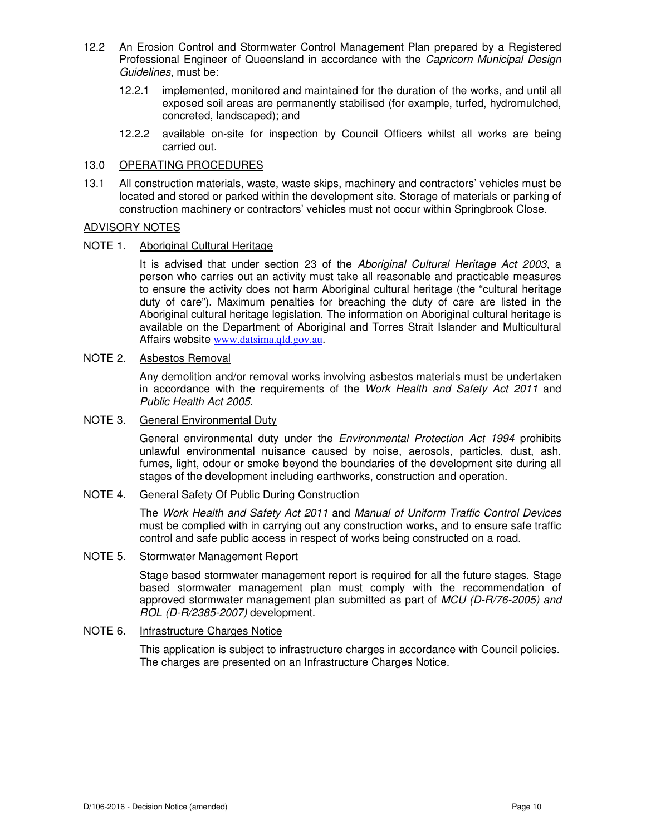- 12.2 An Erosion Control and Stormwater Control Management Plan prepared by a Registered Professional Engineer of Queensland in accordance with the Capricorn Municipal Design Guidelines, must be:
	- 12.2.1 implemented, monitored and maintained for the duration of the works, and until all exposed soil areas are permanently stabilised (for example, turfed, hydromulched, concreted, landscaped); and
	- 12.2.2 available on-site for inspection by Council Officers whilst all works are being carried out.

# 13.0 OPERATING PROCEDURES

13.1 All construction materials, waste, waste skips, machinery and contractors' vehicles must be located and stored or parked within the development site. Storage of materials or parking of construction machinery or contractors' vehicles must not occur within Springbrook Close.

# ADVISORY NOTES

## NOTE 1. Aboriginal Cultural Heritage

It is advised that under section 23 of the Aboriginal Cultural Heritage Act 2003, a person who carries out an activity must take all reasonable and practicable measures to ensure the activity does not harm Aboriginal cultural heritage (the "cultural heritage duty of care"). Maximum penalties for breaching the duty of care are listed in the Aboriginal cultural heritage legislation. The information on Aboriginal cultural heritage is available on the Department of Aboriginal and Torres Strait Islander and Multicultural Affairs website www.datsima.qld.gov.au.

## NOTE 2. Asbestos Removal

Any demolition and/or removal works involving asbestos materials must be undertaken in accordance with the requirements of the Work Health and Safety Act 2011 and Public Health Act 2005.

#### NOTE 3. General Environmental Duty

General environmental duty under the *Environmental Protection Act 1994* prohibits unlawful environmental nuisance caused by noise, aerosols, particles, dust, ash, fumes, light, odour or smoke beyond the boundaries of the development site during all stages of the development including earthworks, construction and operation.

# NOTE 4. General Safety Of Public During Construction

The Work Health and Safety Act 2011 and Manual of Uniform Traffic Control Devices must be complied with in carrying out any construction works, and to ensure safe traffic control and safe public access in respect of works being constructed on a road.

## NOTE 5. Stormwater Management Report

Stage based stormwater management report is required for all the future stages. Stage based stormwater management plan must comply with the recommendation of approved stormwater management plan submitted as part of MCU (D-R/76-2005) and ROL (D-R/2385-2007) development.

# NOTE 6. Infrastructure Charges Notice

 This application is subject to infrastructure charges in accordance with Council policies. The charges are presented on an Infrastructure Charges Notice.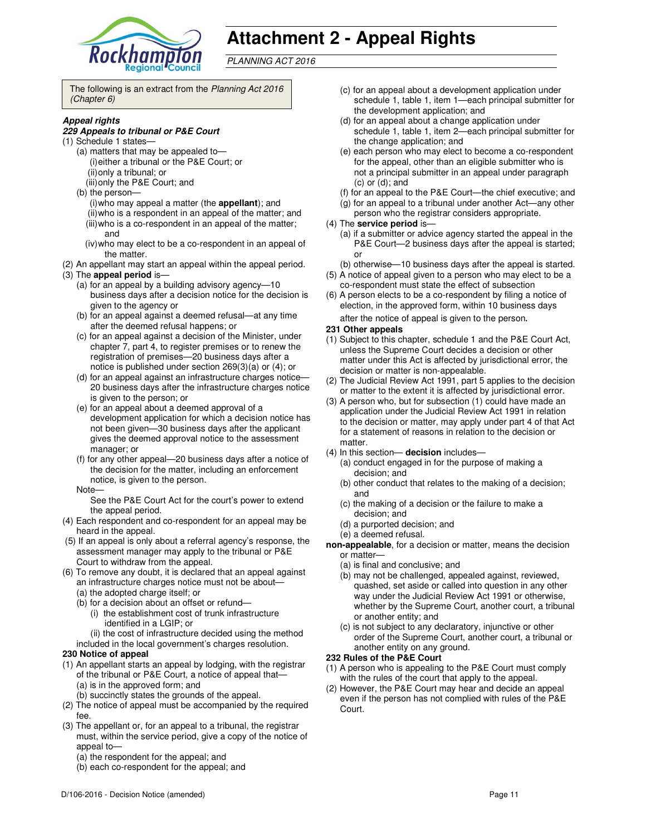

# **Attachment 2 - Appeal Rights**

PLANNING ACT 2016

The following is an extract from the Planning Act 2016 (Chapter 6)

#### **Appeal rights**

#### **229 Appeals to tribunal or P&E Court**

- (1) Schedule 1 states—
	- (a) matters that may be appealed to— (i) either a tribunal or the P&E Court; or (ii) only a tribunal; or (iii) only the P&E Court; and
	- (b) the person—
		- (i) who may appeal a matter (the **appellant**); and (ii) who is a respondent in an appeal of the matter; and (iii) who is a co-respondent in an appeal of the matter; and
		- (iv) who may elect to be a co-respondent in an appeal of the matter.
- (2) An appellant may start an appeal within the appeal period.
- (3) The **appeal period** is—
	- (a) for an appeal by a building advisory agency—10 business days after a decision notice for the decision is given to the agency or
	- (b) for an appeal against a deemed refusal—at any time after the deemed refusal happens; or
	- (c) for an appeal against a decision of the Minister, under chapter 7, part 4, to register premises or to renew the registration of premises—20 business days after a notice is published under section 269(3)(a) or (4); or
	- (d) for an appeal against an infrastructure charges notice— 20 business days after the infrastructure charges notice is given to the person; or
	- (e) for an appeal about a deemed approval of a development application for which a decision notice has not been given—30 business days after the applicant gives the deemed approval notice to the assessment manager; or
	- (f) for any other appeal—20 business days after a notice of the decision for the matter, including an enforcement notice, is given to the person.
	- Note—

See the P&E Court Act for the court's power to extend the appeal period.

- (4) Each respondent and co-respondent for an appeal may be heard in the appeal.
- (5) If an appeal is only about a referral agency's response, the assessment manager may apply to the tribunal or P&E Court to withdraw from the appeal.
- (6) To remove any doubt, it is declared that an appeal against an infrastructure charges notice must not be about—
	- (a) the adopted charge itself; or
	- (b) for a decision about an offset or refund—
		- (i) the establishment cost of trunk infrastructure identified in a LGIP; or
	- (ii) the cost of infrastructure decided using the method included in the local government's charges resolution.

#### **230 Notice of appeal**

- (1) An appellant starts an appeal by lodging, with the registrar of the tribunal or P&E Court, a notice of appeal that— (a) is in the approved form; and
	- (b) succinctly states the grounds of the appeal.
- (2) The notice of appeal must be accompanied by the required fee.
- (3) The appellant or, for an appeal to a tribunal, the registrar must, within the service period, give a copy of the notice of appeal to—
	- (a) the respondent for the appeal; and
	- (b) each co-respondent for the appeal; and
- (c) for an appeal about a development application under schedule 1, table 1, item 1—each principal submitter for the development application; and
- (d) for an appeal about a change application under schedule 1, table 1, item 2—each principal submitter for the change application; and
- (e) each person who may elect to become a co-respondent for the appeal, other than an eligible submitter who is not a principal submitter in an appeal under paragraph (c) or (d); and
- (f) for an appeal to the P&E Court—the chief executive; and
- (g) for an appeal to a tribunal under another Act—any other
- person who the registrar considers appropriate.

#### (4) The **service period** is—

- (a) if a submitter or advice agency started the appeal in the P&E Court-2 business days after the appeal is started; or
- (b) otherwise—10 business days after the appeal is started.
- (5) A notice of appeal given to a person who may elect to be a co-respondent must state the effect of subsection
- (6) A person elects to be a co-respondent by filing a notice of election, in the approved form, within 10 business days after the notice of appeal is given to the person*.*

#### **231 Other appeals**

- (1) Subject to this chapter, schedule 1 and the P&E Court Act, unless the Supreme Court decides a decision or other matter under this Act is affected by jurisdictional error, the decision or matter is non-appealable.
- (2) The Judicial Review Act 1991, part 5 applies to the decision or matter to the extent it is affected by jurisdictional error.
- (3) A person who, but for subsection (1) could have made an application under the Judicial Review Act 1991 in relation to the decision or matter, may apply under part 4 of that Act for a statement of reasons in relation to the decision or matter.
- (4) In this section— **decision** includes—
	- (a) conduct engaged in for the purpose of making a decision; and
	- (b) other conduct that relates to the making of a decision; and
	- (c) the making of a decision or the failure to make a decision; and
	- (d) a purported decision; and
	- (e) a deemed refusal.
- **non-appealable**, for a decision or matter, means the decision or matter—
	- (a) is final and conclusive; and
	- (b) may not be challenged, appealed against, reviewed, quashed, set aside or called into question in any other way under the Judicial Review Act 1991 or otherwise, whether by the Supreme Court, another court, a tribunal or another entity; and
	- (c) is not subject to any declaratory, injunctive or other order of the Supreme Court, another court, a tribunal or another entity on any ground.

#### **232 Rules of the P&E Court**

- (1) A person who is appealing to the P&E Court must comply with the rules of the court that apply to the appeal.
- (2) However, the P&E Court may hear and decide an appeal even if the person has not complied with rules of the P&E Court.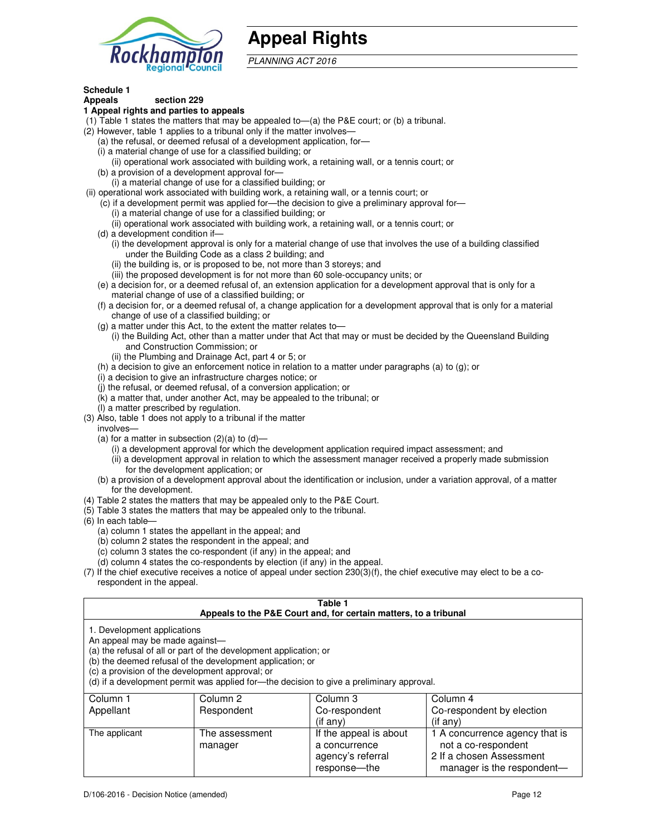

# **Appeal Rights**

PLANNING ACT 2016

# **Schedule 1**

#### **Appeals section 229 1 Appeal rights and parties to appeals**

- (1) Table 1 states the matters that may be appealed to—(a) the P&E court; or (b) a tribunal.
- (2) However, table 1 applies to a tribunal only if the matter involves—
	- (a) the refusal, or deemed refusal of a development application, for—
	- (i) a material change of use for a classified building; or
	- (ii) operational work associated with building work, a retaining wall, or a tennis court; or (b) a provision of a development approval for—
	- (i) a material change of use for a classified building; or
- (ii) operational work associated with building work, a retaining wall, or a tennis court; or
	- (c) if a development permit was applied for—the decision to give a preliminary approval for—
		- (i) a material change of use for a classified building; or
		- (ii) operational work associated with building work, a retaining wall, or a tennis court; or
	- (d) a development condition if—
		- (i) the development approval is only for a material change of use that involves the use of a building classified under the Building Code as a class 2 building; and
		- (ii) the building is, or is proposed to be, not more than 3 storeys; and
		- (iii) the proposed development is for not more than 60 sole-occupancy units; or
	- (e) a decision for, or a deemed refusal of, an extension application for a development approval that is only for a material change of use of a classified building; or
	- (f) a decision for, or a deemed refusal of, a change application for a development approval that is only for a material change of use of a classified building; or
	- (g) a matter under this Act, to the extent the matter relates to—
		- (i) the Building Act, other than a matter under that Act that may or must be decided by the Queensland Building and Construction Commission; or
		- (ii) the Plumbing and Drainage Act, part 4 or 5; or
	- (h) a decision to give an enforcement notice in relation to a matter under paragraphs (a) to (g); or
	- (i) a decision to give an infrastructure charges notice; or
	- (j) the refusal, or deemed refusal, of a conversion application; or
	- (k) a matter that, under another Act, may be appealed to the tribunal; or
	- (l) a matter prescribed by regulation.
- (3) Also, table 1 does not apply to a tribunal if the matter
- involves—
	- (a) for a matter in subsection  $(2)(a)$  to  $(d)$ 
		- (i) a development approval for which the development application required impact assessment; and
		- (ii) a development approval in relation to which the assessment manager received a properly made submission for the development application; or
	- (b) a provision of a development approval about the identification or inclusion, under a variation approval, of a matter for the development.
- (4) Table 2 states the matters that may be appealed only to the P&E Court.
- (5) Table 3 states the matters that may be appealed only to the tribunal.
- (6) In each table—
	- (a) column 1 states the appellant in the appeal; and
	- (b) column 2 states the respondent in the appeal; and
	- (c) column 3 states the co-respondent (if any) in the appeal; and
	- (d) column 4 states the co-respondents by election (if any) in the appeal.
- (7) If the chief executive receives a notice of appeal under section 230(3)(f), the chief executive may elect to be a corespondent in the appeal.

| Table 1<br>Appeals to the P&E Court and, for certain matters, to a tribunal                                                                                                                                                                                                                                                                    |                                   |                                                                          |                                                                                               |  |
|------------------------------------------------------------------------------------------------------------------------------------------------------------------------------------------------------------------------------------------------------------------------------------------------------------------------------------------------|-----------------------------------|--------------------------------------------------------------------------|-----------------------------------------------------------------------------------------------|--|
| 1. Development applications<br>An appeal may be made against-<br>(a) the refusal of all or part of the development application; or<br>(b) the deemed refusal of the development application; or<br>(c) a provision of the development approval; or<br>(d) if a development permit was applied for—the decision to give a preliminary approval. |                                   |                                                                          |                                                                                               |  |
| Column 1<br>Appellant                                                                                                                                                                                                                                                                                                                          | Column <sub>2</sub><br>Respondent | Column 3<br>Co-respondent                                                | Column 4<br>Co-respondent by election                                                         |  |
| The applicant                                                                                                                                                                                                                                                                                                                                  | The assessment<br>manager         | (if any)<br>If the appeal is about<br>a concurrence<br>agency's referral | (if any)<br>1 A concurrence agency that is<br>not a co-respondent<br>2 If a chosen Assessment |  |

response—the

manager is the respondent-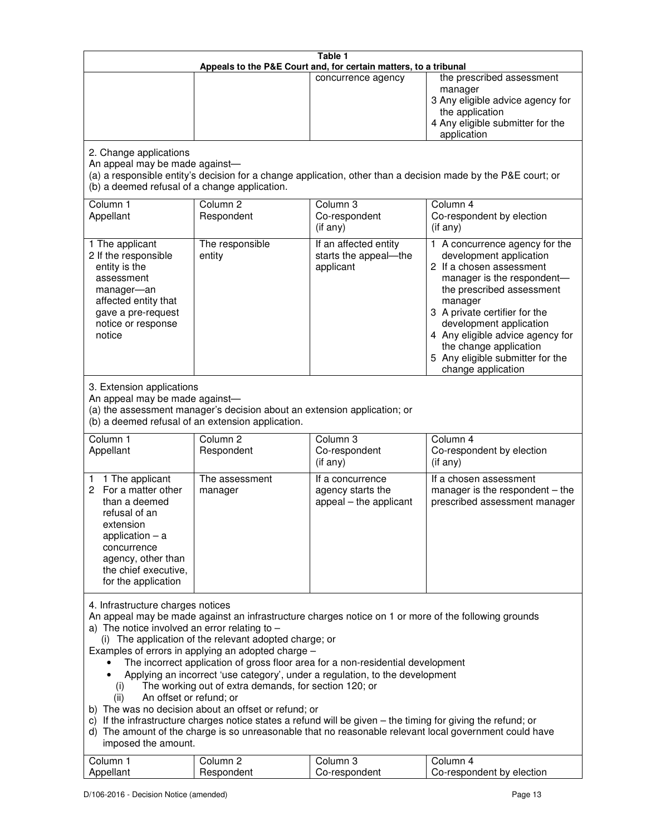| Table 1<br>Appeals to the P&E Court and, for certain matters, to a tribunal                                                                                                                                                                                                                                                                                                                                                                                                                                                                                                                                                                                                                                                                                                                                                                                                                                                                                       |                                   |                                                                 |                                                                                                                                                                                                                                                                                                                                                 |
|-------------------------------------------------------------------------------------------------------------------------------------------------------------------------------------------------------------------------------------------------------------------------------------------------------------------------------------------------------------------------------------------------------------------------------------------------------------------------------------------------------------------------------------------------------------------------------------------------------------------------------------------------------------------------------------------------------------------------------------------------------------------------------------------------------------------------------------------------------------------------------------------------------------------------------------------------------------------|-----------------------------------|-----------------------------------------------------------------|-------------------------------------------------------------------------------------------------------------------------------------------------------------------------------------------------------------------------------------------------------------------------------------------------------------------------------------------------|
|                                                                                                                                                                                                                                                                                                                                                                                                                                                                                                                                                                                                                                                                                                                                                                                                                                                                                                                                                                   |                                   | concurrence agency                                              | the prescribed assessment<br>manager<br>3 Any eligible advice agency for<br>the application<br>4 Any eligible submitter for the<br>application                                                                                                                                                                                                  |
| 2. Change applications<br>An appeal may be made against-<br>(a) a responsible entity's decision for a change application, other than a decision made by the P&E court; or<br>(b) a deemed refusal of a change application.                                                                                                                                                                                                                                                                                                                                                                                                                                                                                                                                                                                                                                                                                                                                        |                                   |                                                                 |                                                                                                                                                                                                                                                                                                                                                 |
| Column 1<br>Appellant                                                                                                                                                                                                                                                                                                                                                                                                                                                                                                                                                                                                                                                                                                                                                                                                                                                                                                                                             | Column <sub>2</sub><br>Respondent | Column <sub>3</sub><br>Co-respondent<br>(if any)                | Column 4<br>Co-respondent by election<br>(if any)                                                                                                                                                                                                                                                                                               |
| 1 The applicant<br>2 If the responsible<br>entity is the<br>assessment<br>manager-an<br>affected entity that<br>gave a pre-request<br>notice or response<br>notice                                                                                                                                                                                                                                                                                                                                                                                                                                                                                                                                                                                                                                                                                                                                                                                                | The responsible<br>entity         | If an affected entity<br>starts the appeal-the<br>applicant     | 1 A concurrence agency for the<br>development application<br>2 If a chosen assessment<br>manager is the respondent-<br>the prescribed assessment<br>manager<br>3 A private certifier for the<br>development application<br>4 Any eligible advice agency for<br>the change application<br>5 Any eligible submitter for the<br>change application |
| 3. Extension applications<br>An appeal may be made against-<br>(a) the assessment manager's decision about an extension application; or<br>(b) a deemed refusal of an extension application.                                                                                                                                                                                                                                                                                                                                                                                                                                                                                                                                                                                                                                                                                                                                                                      |                                   |                                                                 |                                                                                                                                                                                                                                                                                                                                                 |
| Column 1<br>Appellant                                                                                                                                                                                                                                                                                                                                                                                                                                                                                                                                                                                                                                                                                                                                                                                                                                                                                                                                             | Column <sub>2</sub><br>Respondent | Column 3<br>Co-respondent<br>(if any)                           | Column 4<br>Co-respondent by election<br>(if any)                                                                                                                                                                                                                                                                                               |
| 1 1 The applicant<br>2 For a matter other<br>than a deemed<br>refusal of an<br>extension<br>application $-$ a<br>concurrence<br>agency, other than<br>the chief executive,<br>for the application                                                                                                                                                                                                                                                                                                                                                                                                                                                                                                                                                                                                                                                                                                                                                                 | The assessment<br>manager         | If a concurrence<br>agency starts the<br>appeal - the applicant | If a chosen assessment<br>manager is the respondent - the<br>prescribed assessment manager                                                                                                                                                                                                                                                      |
| 4. Infrastructure charges notices<br>An appeal may be made against an infrastructure charges notice on 1 or more of the following grounds<br>a) The notice involved an error relating to $-$<br>(i) The application of the relevant adopted charge; or<br>Examples of errors in applying an adopted charge -<br>The incorrect application of gross floor area for a non-residential development<br>Applying an incorrect 'use category', under a regulation, to the development<br>The working out of extra demands, for section 120; or<br>(i)<br>An offset or refund; or<br>(ii)<br>b) The was no decision about an offset or refund; or<br>c) If the infrastructure charges notice states a refund will be given – the timing for giving the refund; or<br>d) The amount of the charge is so unreasonable that no reasonable relevant local government could have<br>imposed the amount.<br>Column <sub>1</sub><br>Column <sub>2</sub><br>Column 3<br>Column 4 |                                   |                                                                 |                                                                                                                                                                                                                                                                                                                                                 |
| Appellant                                                                                                                                                                                                                                                                                                                                                                                                                                                                                                                                                                                                                                                                                                                                                                                                                                                                                                                                                         | Respondent                        | Co-respondent                                                   | Co-respondent by election                                                                                                                                                                                                                                                                                                                       |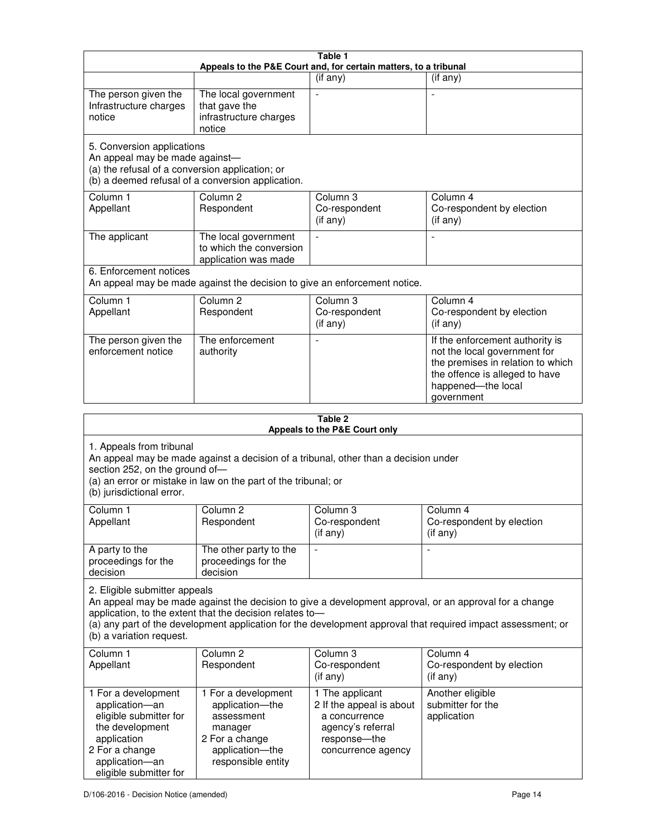| Table 1<br>Appeals to the P&E Court and, for certain matters, to a tribunal                                                                                                                                                                                                                                                                     |                                                                                                                            |                                                                                                                         |                                                                                                                                                                            |
|-------------------------------------------------------------------------------------------------------------------------------------------------------------------------------------------------------------------------------------------------------------------------------------------------------------------------------------------------|----------------------------------------------------------------------------------------------------------------------------|-------------------------------------------------------------------------------------------------------------------------|----------------------------------------------------------------------------------------------------------------------------------------------------------------------------|
|                                                                                                                                                                                                                                                                                                                                                 |                                                                                                                            | $(i f \n{any})$                                                                                                         | (if any)                                                                                                                                                                   |
| The person given the<br>Infrastructure charges<br>notice                                                                                                                                                                                                                                                                                        | The local government<br>that gave the<br>infrastructure charges<br>notice                                                  |                                                                                                                         |                                                                                                                                                                            |
| 5. Conversion applications<br>An appeal may be made against-<br>(a) the refusal of a conversion application; or                                                                                                                                                                                                                                 | (b) a deemed refusal of a conversion application.                                                                          |                                                                                                                         |                                                                                                                                                                            |
| Column 1<br>Appellant                                                                                                                                                                                                                                                                                                                           | Column <sub>2</sub><br>Respondent                                                                                          | Column 3<br>Co-respondent<br>(if any)                                                                                   | Column 4<br>Co-respondent by election<br>(if any)                                                                                                                          |
| The applicant                                                                                                                                                                                                                                                                                                                                   | The local government<br>to which the conversion<br>application was made                                                    |                                                                                                                         | $\overline{a}$                                                                                                                                                             |
| 6. Enforcement notices                                                                                                                                                                                                                                                                                                                          | An appeal may be made against the decision to give an enforcement notice.                                                  |                                                                                                                         |                                                                                                                                                                            |
| Column 1<br>Appellant                                                                                                                                                                                                                                                                                                                           | Column <sub>2</sub><br>Respondent                                                                                          | Column <sub>3</sub><br>Co-respondent<br>(if any)                                                                        | Column 4<br>Co-respondent by election<br>(if any)                                                                                                                          |
| The person given the<br>enforcement notice                                                                                                                                                                                                                                                                                                      | The enforcement<br>authority                                                                                               |                                                                                                                         | If the enforcement authority is<br>not the local government for<br>the premises in relation to which<br>the offence is alleged to have<br>happened-the local<br>government |
|                                                                                                                                                                                                                                                                                                                                                 |                                                                                                                            | Table 2<br>Appeals to the P&E Court only                                                                                |                                                                                                                                                                            |
| 1. Appeals from tribunal<br>An appeal may be made against a decision of a tribunal, other than a decision under<br>section 252, on the ground of-<br>(a) an error or mistake in law on the part of the tribunal; or<br>(b) jurisdictional error.                                                                                                |                                                                                                                            |                                                                                                                         |                                                                                                                                                                            |
| Column 1<br>Appellant                                                                                                                                                                                                                                                                                                                           | Column <sub>2</sub><br>Respondent                                                                                          | Column 3<br>Co-respondent<br>(i f any)                                                                                  | Column 4<br>Co-respondent by election<br>(i f any)                                                                                                                         |
| A party to the<br>proceedings for the<br>decision                                                                                                                                                                                                                                                                                               | The other party to the<br>proceedings for the<br>decision                                                                  |                                                                                                                         |                                                                                                                                                                            |
| 2. Eligible submitter appeals<br>An appeal may be made against the decision to give a development approval, or an approval for a change<br>application, to the extent that the decision relates to-<br>(a) any part of the development application for the development approval that required impact assessment; or<br>(b) a variation request. |                                                                                                                            |                                                                                                                         |                                                                                                                                                                            |
| Column 1<br>Appellant                                                                                                                                                                                                                                                                                                                           | Column 2<br>Respondent                                                                                                     | Column 3<br>Co-respondent<br>(if any)                                                                                   | Column 4<br>Co-respondent by election<br>(if any)                                                                                                                          |
| 1 For a development<br>application-an<br>eligible submitter for<br>the development<br>application<br>2 For a change<br>application-an                                                                                                                                                                                                           | 1 For a development<br>application-the<br>assessment<br>manager<br>2 For a change<br>application-the<br>responsible entity | 1 The applicant<br>2 If the appeal is about<br>a concurrence<br>agency's referral<br>response-the<br>concurrence agency | Another eligible<br>submitter for the<br>application                                                                                                                       |

eligible submitter for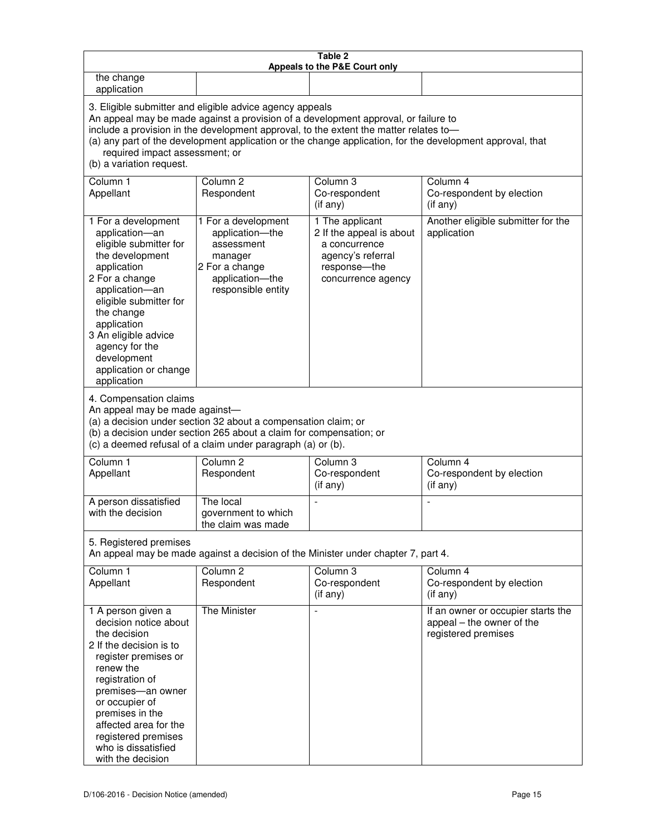| Table 2<br>Appeals to the P&E Court only                                                                                                                                                                                                                                                                                                                                                                           |                                                                                                                            |                                                                                                                         |                                                                                        |
|--------------------------------------------------------------------------------------------------------------------------------------------------------------------------------------------------------------------------------------------------------------------------------------------------------------------------------------------------------------------------------------------------------------------|----------------------------------------------------------------------------------------------------------------------------|-------------------------------------------------------------------------------------------------------------------------|----------------------------------------------------------------------------------------|
| the change<br>application                                                                                                                                                                                                                                                                                                                                                                                          |                                                                                                                            |                                                                                                                         |                                                                                        |
| 3. Eligible submitter and eligible advice agency appeals<br>An appeal may be made against a provision of a development approval, or failure to<br>include a provision in the development approval, to the extent the matter relates to-<br>(a) any part of the development application or the change application, for the development approval, that<br>required impact assessment; or<br>(b) a variation request. |                                                                                                                            |                                                                                                                         |                                                                                        |
| Column 1<br>Appellant                                                                                                                                                                                                                                                                                                                                                                                              | Column <sub>2</sub><br>Respondent                                                                                          | Column 3<br>Co-respondent<br>(if any)                                                                                   | Column 4<br>Co-respondent by election<br>(if any)                                      |
| 1 For a development<br>application-an<br>eligible submitter for<br>the development<br>application<br>2 For a change<br>application-an<br>eligible submitter for<br>the change<br>application<br>3 An eligible advice<br>agency for the<br>development<br>application or change<br>application                                                                                                                      | 1 For a development<br>application-the<br>assessment<br>manager<br>2 For a change<br>application-the<br>responsible entity | 1 The applicant<br>2 If the appeal is about<br>a concurrence<br>agency's referral<br>response-the<br>concurrence agency | Another eligible submitter for the<br>application                                      |
| 4. Compensation claims<br>An appeal may be made against-<br>(a) a decision under section 32 about a compensation claim; or<br>(b) a decision under section 265 about a claim for compensation; or<br>(c) a deemed refusal of a claim under paragraph (a) or (b).                                                                                                                                                   |                                                                                                                            |                                                                                                                         |                                                                                        |
| Column <sub>1</sub><br>Appellant                                                                                                                                                                                                                                                                                                                                                                                   | Column <sub>2</sub><br>Respondent                                                                                          | Column 3<br>Co-respondent<br>(if any)                                                                                   | Column 4<br>Co-respondent by election<br>(if any)                                      |
| A person dissatisfied<br>with the decision                                                                                                                                                                                                                                                                                                                                                                         | The local<br>government to which<br>the claim was made                                                                     |                                                                                                                         |                                                                                        |
| 5. Registered premises<br>An appeal may be made against a decision of the Minister under chapter 7, part 4.                                                                                                                                                                                                                                                                                                        |                                                                                                                            |                                                                                                                         |                                                                                        |
| Column 1<br>Appellant                                                                                                                                                                                                                                                                                                                                                                                              | Column <sub>2</sub><br>Respondent                                                                                          | Column <sub>3</sub><br>Co-respondent<br>(if any)                                                                        | Column 4<br>Co-respondent by election<br>(if any)                                      |
| 1 A person given a<br>decision notice about<br>the decision<br>2 If the decision is to<br>register premises or<br>renew the<br>registration of<br>premises-an owner<br>or occupier of<br>premises in the<br>affected area for the<br>registered premises<br>who is dissatisfied<br>with the decision                                                                                                               | The Minister                                                                                                               | $\blacksquare$                                                                                                          | If an owner or occupier starts the<br>appeal – the owner of the<br>registered premises |